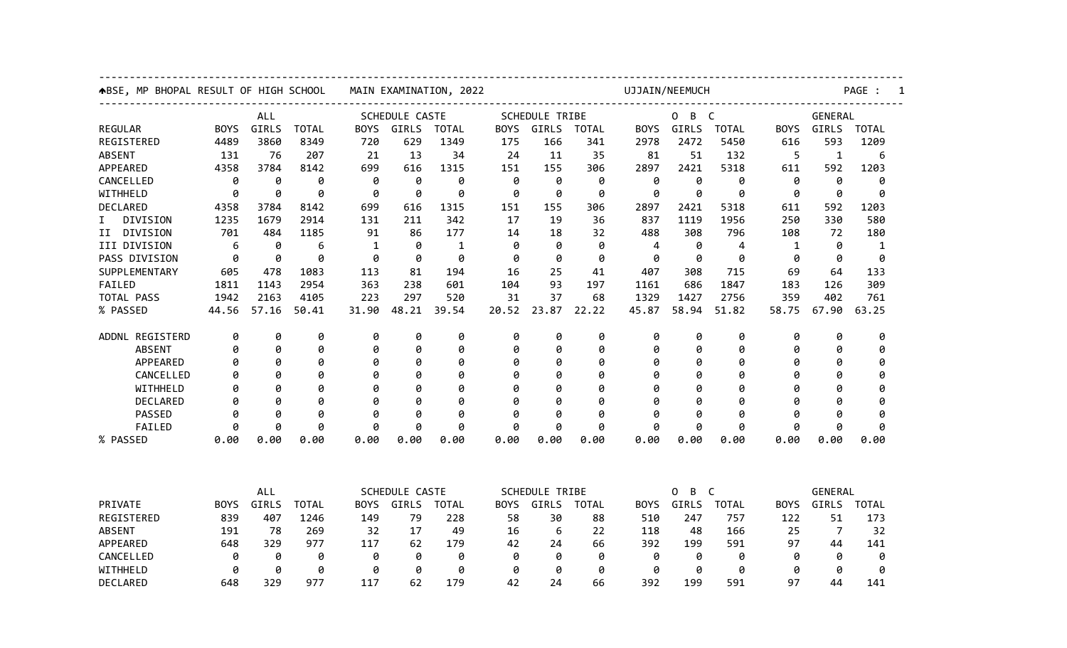| SCHEDULE CASTE<br><b>SCHEDULE TRIBE</b><br>$\overline{C}$<br>ALL<br>0<br>B<br><b>REGULAR</b><br>GIRLS<br><b>TOTAL</b><br><b>BOYS</b><br>GIRLS<br>GIRLS<br>GIRLS<br><b>TOTAL</b><br>GIRLS<br><b>BOYS</b><br><b>TOTAL</b><br><b>BOYS</b><br>TOTAL<br><b>BOYS</b><br><b>BOYS</b><br>629<br>593<br>REGISTERED<br>4489<br>3860<br>8349<br>720<br>1349<br>175<br>166<br>2978<br>2472<br>5450<br>341<br>616<br>35<br>51<br><b>ABSENT</b><br>131<br>76<br>207<br>21<br>13<br>34<br>24<br>11<br>81<br>132<br>5<br>$\mathbf{1}$<br>2421<br>APPEARED<br>4358<br>3784<br>8142<br>699<br>616<br>1315<br>151<br>155<br>306<br>2897<br>5318<br>592<br>611<br>CANCELLED<br>0<br>0<br>0<br>0<br>0<br>0<br>0<br>0<br>0<br>0<br>0<br>0<br>0<br>0<br>ø<br>WITHHELD<br>0<br>0<br>0<br>0<br>0<br>0<br>0<br>0<br>0<br>0<br>ø<br>ø<br>0<br>3784<br>699<br>151<br>155<br>592<br><b>DECLARED</b><br>4358<br>8142<br>1315<br>306<br>2897<br>2421<br>5318<br>611<br>616<br>330<br>DIVISION<br>1235<br>1679<br>2914<br>131<br>211<br>342<br>17<br>19<br>36<br>837<br>1119<br>1956<br>250<br>I. |              |  |  |
|-------------------------------------------------------------------------------------------------------------------------------------------------------------------------------------------------------------------------------------------------------------------------------------------------------------------------------------------------------------------------------------------------------------------------------------------------------------------------------------------------------------------------------------------------------------------------------------------------------------------------------------------------------------------------------------------------------------------------------------------------------------------------------------------------------------------------------------------------------------------------------------------------------------------------------------------------------------------------------------------------------------------------------------------------------------------|--------------|--|--|
|                                                                                                                                                                                                                                                                                                                                                                                                                                                                                                                                                                                                                                                                                                                                                                                                                                                                                                                                                                                                                                                                   | GENERAL      |  |  |
|                                                                                                                                                                                                                                                                                                                                                                                                                                                                                                                                                                                                                                                                                                                                                                                                                                                                                                                                                                                                                                                                   | TOTAL        |  |  |
|                                                                                                                                                                                                                                                                                                                                                                                                                                                                                                                                                                                                                                                                                                                                                                                                                                                                                                                                                                                                                                                                   | 1209         |  |  |
|                                                                                                                                                                                                                                                                                                                                                                                                                                                                                                                                                                                                                                                                                                                                                                                                                                                                                                                                                                                                                                                                   | 6            |  |  |
|                                                                                                                                                                                                                                                                                                                                                                                                                                                                                                                                                                                                                                                                                                                                                                                                                                                                                                                                                                                                                                                                   | 1203         |  |  |
|                                                                                                                                                                                                                                                                                                                                                                                                                                                                                                                                                                                                                                                                                                                                                                                                                                                                                                                                                                                                                                                                   | 0            |  |  |
|                                                                                                                                                                                                                                                                                                                                                                                                                                                                                                                                                                                                                                                                                                                                                                                                                                                                                                                                                                                                                                                                   | ø            |  |  |
|                                                                                                                                                                                                                                                                                                                                                                                                                                                                                                                                                                                                                                                                                                                                                                                                                                                                                                                                                                                                                                                                   | 1203         |  |  |
|                                                                                                                                                                                                                                                                                                                                                                                                                                                                                                                                                                                                                                                                                                                                                                                                                                                                                                                                                                                                                                                                   | 580          |  |  |
| DIVISION<br>701<br>1185<br>177<br>32<br>484<br>91<br>86<br>18<br>488<br>308<br>796<br>108<br>72<br>II<br>14                                                                                                                                                                                                                                                                                                                                                                                                                                                                                                                                                                                                                                                                                                                                                                                                                                                                                                                                                       | 180          |  |  |
| III DIVISION<br>0<br>6<br>$\mathbf 1$<br>0<br>0<br>0<br>0<br>0<br>6<br>1<br>0<br>4<br>4<br>$\mathbf{1}$                                                                                                                                                                                                                                                                                                                                                                                                                                                                                                                                                                                                                                                                                                                                                                                                                                                                                                                                                           | $\mathbf{1}$ |  |  |
| 0<br>PASS DIVISION<br>0<br>0<br>0<br>0<br>0<br>0<br>0<br>0<br>0<br>0<br>0<br>0<br>0                                                                                                                                                                                                                                                                                                                                                                                                                                                                                                                                                                                                                                                                                                                                                                                                                                                                                                                                                                               | 0            |  |  |
| SUPPLEMENTARY<br>605<br>478<br>1083<br>194<br>25<br>308<br>715<br>69<br>113<br>81<br>16<br>41<br>407<br>64                                                                                                                                                                                                                                                                                                                                                                                                                                                                                                                                                                                                                                                                                                                                                                                                                                                                                                                                                        | 133          |  |  |
| FAILED<br>1811<br>1143<br>2954<br>363<br>601<br>93<br>1847<br>238<br>104<br>197<br>1161<br>686<br>183<br>126                                                                                                                                                                                                                                                                                                                                                                                                                                                                                                                                                                                                                                                                                                                                                                                                                                                                                                                                                      | 309          |  |  |
| 1942<br>2163<br>4105<br>223<br>297<br>31<br>37<br>68<br>359<br>402<br>TOTAL PASS<br>520<br>1329<br>1427<br>2756                                                                                                                                                                                                                                                                                                                                                                                                                                                                                                                                                                                                                                                                                                                                                                                                                                                                                                                                                   | 761          |  |  |
| 57.16<br>50.41<br>31.90<br>48.21<br>39.54<br>20.52<br>23.87<br>22.22<br>45.87<br>58.94<br>58.75<br>67.90<br>% PASSED<br>44.56<br>51.82                                                                                                                                                                                                                                                                                                                                                                                                                                                                                                                                                                                                                                                                                                                                                                                                                                                                                                                            | 63.25        |  |  |
| ADDNL REGISTERD<br>0<br>0<br>0<br>0<br>0<br>0<br>0<br>0<br>0<br>0<br>0<br>0<br>0<br>0                                                                                                                                                                                                                                                                                                                                                                                                                                                                                                                                                                                                                                                                                                                                                                                                                                                                                                                                                                             | 0            |  |  |
| 0<br>0<br>0<br>0<br>0<br>0<br>0<br>0<br>0<br>0<br>0<br><b>ABSENT</b><br>0<br>0<br>0                                                                                                                                                                                                                                                                                                                                                                                                                                                                                                                                                                                                                                                                                                                                                                                                                                                                                                                                                                               | 0            |  |  |
| APPEARED<br>0<br>0<br>0<br>0<br>0<br>0<br>0<br>0<br>0<br>0<br>0<br>0<br>0<br>0                                                                                                                                                                                                                                                                                                                                                                                                                                                                                                                                                                                                                                                                                                                                                                                                                                                                                                                                                                                    | 0            |  |  |
| 0<br>0<br>0<br>CANCELLED<br>Ø<br>ø<br>0<br>0<br>g<br>0<br>Ø<br>0<br>Ø<br>Ø<br>ø                                                                                                                                                                                                                                                                                                                                                                                                                                                                                                                                                                                                                                                                                                                                                                                                                                                                                                                                                                                   | 0            |  |  |
| WITHHELD<br>Ø<br>0<br>Ø<br>0<br>0<br>0<br>g<br>0<br>$\theta$<br>0<br>0<br>0<br>Ø<br>Ø                                                                                                                                                                                                                                                                                                                                                                                                                                                                                                                                                                                                                                                                                                                                                                                                                                                                                                                                                                             | 0            |  |  |
| DECLARED<br>ø<br>0<br>0<br>0<br>g<br>0<br>0<br>0<br>ø<br>ø<br>0<br>Ø<br>ø<br>Ø                                                                                                                                                                                                                                                                                                                                                                                                                                                                                                                                                                                                                                                                                                                                                                                                                                                                                                                                                                                    | 0            |  |  |
| 0<br>0<br><b>PASSED</b><br>ø<br>0<br>0<br>0<br>g<br>0<br>0<br>0<br>0<br>Ø<br>ø<br>ø                                                                                                                                                                                                                                                                                                                                                                                                                                                                                                                                                                                                                                                                                                                                                                                                                                                                                                                                                                               | 0            |  |  |
| Ø<br>0<br>0<br>0<br>Ø<br>Ø<br>0<br>0<br>FAILED<br>ø<br>ø<br>ø<br>ø<br>0<br>ø                                                                                                                                                                                                                                                                                                                                                                                                                                                                                                                                                                                                                                                                                                                                                                                                                                                                                                                                                                                      | 0            |  |  |
| % PASSED<br>0.00<br>0.00<br>0.00<br>0.00<br>0.00<br>0.00<br>0.00<br>0.00<br>0.00<br>0.00<br>0.00<br>0.00<br>0.00<br>0.00                                                                                                                                                                                                                                                                                                                                                                                                                                                                                                                                                                                                                                                                                                                                                                                                                                                                                                                                          | 0.00         |  |  |
| SCHEDULE CASTE<br><b>SCHEDULE TRIBE</b><br>$\mathsf{C}$<br>GENERAL<br>ALL<br>0<br>B                                                                                                                                                                                                                                                                                                                                                                                                                                                                                                                                                                                                                                                                                                                                                                                                                                                                                                                                                                               |              |  |  |
| PRIVATE<br>GIRLS<br><b>TOTAL</b><br>GIRLS<br><b>TOTAL</b><br>GIRLS<br>GIRLS<br><b>BOYS</b><br><b>BOYS</b><br><b>BOYS</b><br><b>TOTAL</b><br><b>BOYS</b><br><b>TOTAL</b><br><b>BOYS</b><br>GIRLS                                                                                                                                                                                                                                                                                                                                                                                                                                                                                                                                                                                                                                                                                                                                                                                                                                                                   | <b>TOTAL</b> |  |  |
| REGISTERED<br>839<br>407<br>149<br>79<br>58<br>30<br>88<br>757<br>122<br>51<br>1246<br>228<br>510<br>247                                                                                                                                                                                                                                                                                                                                                                                                                                                                                                                                                                                                                                                                                                                                                                                                                                                                                                                                                          | 173          |  |  |
| <b>ABSENT</b><br>191<br>78<br>269<br>32<br>17<br>49<br>166<br>25<br>7<br>16<br>6<br>22<br>118<br>48                                                                                                                                                                                                                                                                                                                                                                                                                                                                                                                                                                                                                                                                                                                                                                                                                                                                                                                                                               | 32           |  |  |
| APPEARED<br>648<br>329<br>977<br>117<br>62<br>179<br>42<br>392<br>199<br>591<br>97<br>24<br>66<br>44                                                                                                                                                                                                                                                                                                                                                                                                                                                                                                                                                                                                                                                                                                                                                                                                                                                                                                                                                              | 141          |  |  |
| CANCELLED<br>0<br>0<br>ø<br>0<br>ø<br>ø<br>ø<br>0<br>ø<br>ø<br>ø<br>ø<br>ø<br>ø                                                                                                                                                                                                                                                                                                                                                                                                                                                                                                                                                                                                                                                                                                                                                                                                                                                                                                                                                                                   | 0            |  |  |
| WITHHELD<br>0<br>0<br>0<br>0<br>0<br>0<br>0<br>0<br>0<br>0<br>0<br>0<br>0<br>0                                                                                                                                                                                                                                                                                                                                                                                                                                                                                                                                                                                                                                                                                                                                                                                                                                                                                                                                                                                    | 0            |  |  |
| 97<br>DECLARED<br>329<br>977<br>117<br>62<br>179<br>42<br>392<br>199<br>591<br>648<br>24<br>66<br>44                                                                                                                                                                                                                                                                                                                                                                                                                                                                                                                                                                                                                                                                                                                                                                                                                                                                                                                                                              |              |  |  |